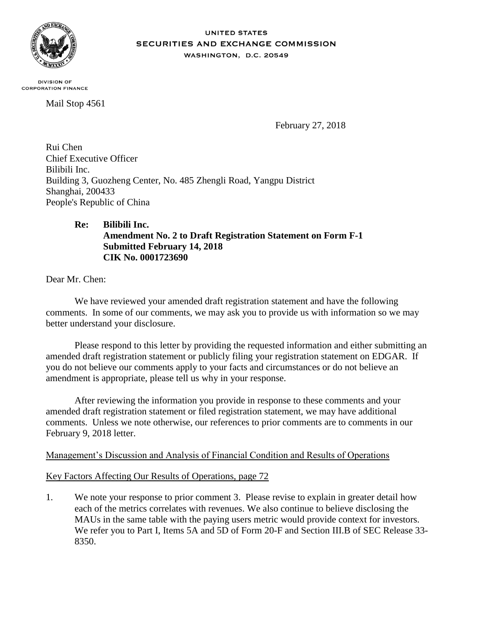

#### **UNITED STATES** SECURITIES AND EXCHANGE COMMISSION WASHINGTON, D.C. 20549

**DIVISION OF CORPORATION FINANCE** 

Mail Stop 4561

February 27, 2018

Rui Chen Chief Executive Officer Bilibili Inc. Building 3, Guozheng Center, No. 485 Zhengli Road, Yangpu District Shanghai, 200433 People's Republic of China

# **Re: Bilibili Inc. Amendment No. 2 to Draft Registration Statement on Form F-1 Submitted February 14, 2018 CIK No. 0001723690**

Dear Mr. Chen:

We have reviewed your amended draft registration statement and have the following comments. In some of our comments, we may ask you to provide us with information so we may better understand your disclosure.

Please respond to this letter by providing the requested information and either submitting an amended draft registration statement or publicly filing your registration statement on EDGAR. If you do not believe our comments apply to your facts and circumstances or do not believe an amendment is appropriate, please tell us why in your response.

After reviewing the information you provide in response to these comments and your amended draft registration statement or filed registration statement, we may have additional comments. Unless we note otherwise, our references to prior comments are to comments in our February 9, 2018 letter.

## Management's Discussion and Analysis of Financial Condition and Results of Operations

## Key Factors Affecting Our Results of Operations, page 72

1. We note your response to prior comment 3. Please revise to explain in greater detail how each of the metrics correlates with revenues. We also continue to believe disclosing the MAUs in the same table with the paying users metric would provide context for investors. We refer you to Part I, Items 5A and 5D of Form 20-F and Section III.B of SEC Release 33- 8350.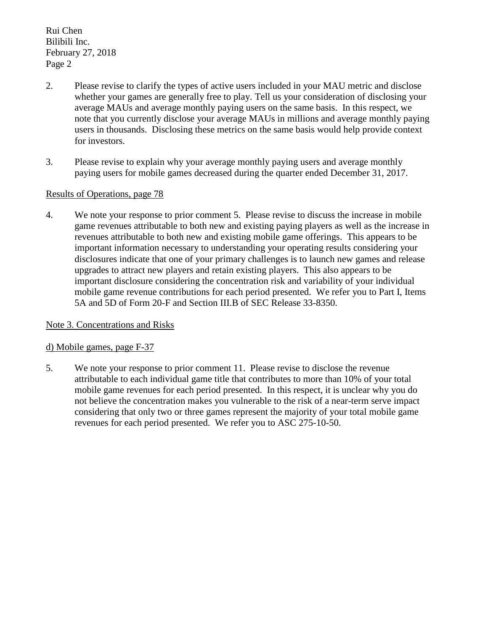Rui Chen Bilibili Inc. February 27, 2018 Page 2

- 2. Please revise to clarify the types of active users included in your MAU metric and disclose whether your games are generally free to play. Tell us your consideration of disclosing your average MAUs and average monthly paying users on the same basis. In this respect, we note that you currently disclose your average MAUs in millions and average monthly paying users in thousands. Disclosing these metrics on the same basis would help provide context for investors.
- 3. Please revise to explain why your average monthly paying users and average monthly paying users for mobile games decreased during the quarter ended December 31, 2017.

#### Results of Operations, page 78

4. We note your response to prior comment 5. Please revise to discuss the increase in mobile game revenues attributable to both new and existing paying players as well as the increase in revenues attributable to both new and existing mobile game offerings. This appears to be important information necessary to understanding your operating results considering your disclosures indicate that one of your primary challenges is to launch new games and release upgrades to attract new players and retain existing players. This also appears to be important disclosure considering the concentration risk and variability of your individual mobile game revenue contributions for each period presented. We refer you to Part I, Items 5A and 5D of Form 20-F and Section III.B of SEC Release 33-8350.

## Note 3. Concentrations and Risks

#### d) Mobile games, page F-37

5. We note your response to prior comment 11. Please revise to disclose the revenue attributable to each individual game title that contributes to more than 10% of your total mobile game revenues for each period presented. In this respect, it is unclear why you do not believe the concentration makes you vulnerable to the risk of a near-term serve impact considering that only two or three games represent the majority of your total mobile game revenues for each period presented. We refer you to ASC 275-10-50.